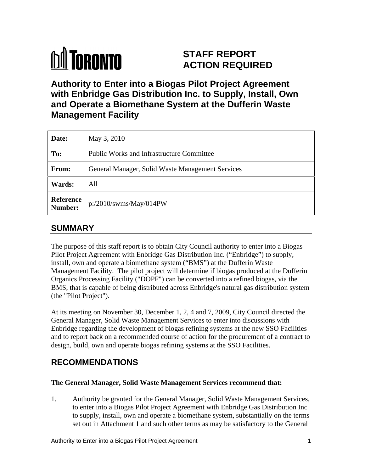# **M** TORONTO

# **STAFF REPORT ACTION REQUIRED**

**Authority to Enter into a Biogas Pilot Project Agreement with Enbridge Gas Distribution Inc. to Supply, Install, Own and Operate a Biomethane System at the Dufferin Waste Management Facility**

| Date:      | May 3, 2010                                      |
|------------|--------------------------------------------------|
| To:        | Public Works and Infrastructure Committee        |
| From:      | General Manager, Solid Waste Management Services |
| Wards: All |                                                  |
|            | Reference<br>Number: p:/2010/swms/May/014PW      |

## **SUMMARY**

The purpose of this staff report is to obtain City Council authority to enter into a Biogas Pilot Project Agreement with Enbridge Gas Distribution Inc. ("Enbridge") to supply, install, own and operate a biomethane system ("BMS") at the Dufferin Waste Management Facility. The pilot project will determine if biogas produced at the Dufferin Organics Processing Facility ("DOPF") can be converted into a refined biogas, via the BMS, that is capable of being distributed across Enbridge's natural gas distribution system (the "Pilot Project").

At its meeting on November 30, December 1, 2, 4 and 7, 2009, City Council directed the General Manager, Solid Waste Management Services to enter into discussions with Enbridge regarding the development of biogas refining systems at the new SSO Facilities and to report back on a recommended course of action for the procurement of a contract to design, build, own and operate biogas refining systems at the SSO Facilities.

# **RECOMMENDATIONS**

#### **The General Manager, Solid Waste Management Services recommend that:**

1. Authority be granted for the General Manager, Solid Waste Management Services, to enter into a Biogas Pilot Project Agreement with Enbridge Gas Distribution Inc to supply, install, own and operate a biomethane system, substantially on the terms set out in Attachment 1 and such other terms as may be satisfactory to the General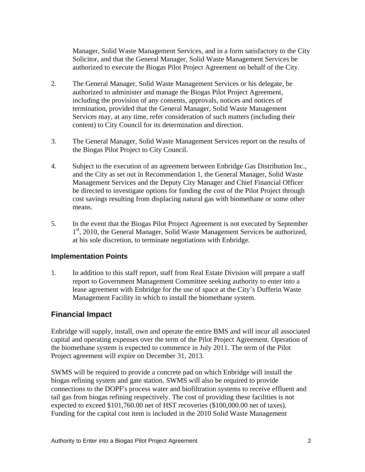Manager, Solid Waste Management Services, and in a form satisfactory to the City Solicitor, and that the General Manager, Solid Waste Management Services be authorized to execute the Biogas Pilot Project Agreement on behalf of the City.

- 2. The General Manager, Solid Waste Management Services or his delegate, be authorized to administer and manage the Biogas Pilot Project Agreement, including the provision of any consents, approvals, notices and notices of termination, provided that the General Manager, Solid Waste Management Services may, at any time, refer consideration of such matters (including their content) to City Council for its determination and direction.
- 3. The General Manager, Solid Waste Management Services report on the results of the Biogas Pilot Project to City Council.
- 4. Subject to the execution of an agreement between Enbridge Gas Distribution Inc., and the City as set out in Recommendation 1, the General Manager, Solid Waste Management Services and the Deputy City Manager and Chief Financial Officer be directed to investigate options for funding the cost of the Pilot Project through cost savings resulting from displacing natural gas with biomethane or some other means.
- 5. In the event that the Biogas Pilot Project Agreement is not executed by September 1<sup>st</sup>, 2010, the General Manager, Solid Waste Management Services be authorized, at his sole discretion, to terminate negotiations with Enbridge.

#### **Implementation Points**

1. In addition to this staff report, staff from Real Estate Division will prepare a staff report to Government Management Committee seeking authority to enter into a lease agreement with Enbridge for the use of space at the City's Dufferin Waste Management Facility in which to install the biomethane system.

#### **Financial Impact**

Enbridge will supply, install, own and operate the entire BMS and will incur all associated capital and operating expenses over the term of the Pilot Project Agreement. Operation of the biomethane system is expected to commence in July 2011. The term of the Pilot Project agreement will expire on December 31, 2013.

SWMS will be required to provide a concrete pad on which Enbridge will install the biogas refining system and gate station. SWMS will also be required to provide connections to the DOPF's process water and biofiltration systems to receive effluent and tail gas from biogas refining respectively. The cost of providing these facilities is not expected to exceed \$101,760.00 net of HST recoveries (\$100,000.00 net of taxes). Funding for the capital cost item is included in the 2010 Solid Waste Management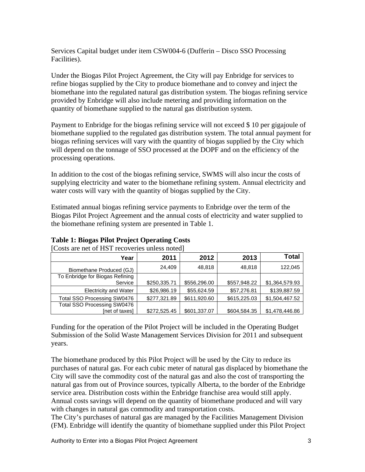Services Capital budget under item CSW004-6 (Dufferin – Disco SSO Processing Facilities).

Under the Biogas Pilot Project Agreement, the City will pay Enbridge for services to refine biogas supplied by the City to produce biomethane and to convey and inject the biomethane into the regulated natural gas distribution system. The biogas refining service provided by Enbridge will also include metering and providing information on the quantity of biomethane supplied to the natural gas distribution system.

Payment to Enbridge for the biogas refining service will not exceed \$ 10 per gigajoule of biomethane supplied to the regulated gas distribution system. The total annual payment for biogas refining services will vary with the quantity of biogas supplied by the City which will depend on the tonnage of SSO processed at the DOPF and on the efficiency of the processing operations.

In addition to the cost of the biogas refining service, SWMS will also incur the costs of supplying electricity and water to the biomethane refining system. Annual electricity and water costs will vary with the quantity of biogas supplied by the City.

Estimated annual biogas refining service payments to Enbridge over the term of the Biogas Pilot Project Agreement and the annual costs of electricity and water supplied to the biomethane refining system are presented in Table 1.

| 00000 010 1100 01 110 1 1000 1 01100 0111000 11000 0 |              |                             |             |                               |
|------------------------------------------------------|--------------|-----------------------------|-------------|-------------------------------|
| Year                                                 | 2011         | 2012                        | 2013        | <b>Total</b>                  |
| Biomethane Produced (GJ)                             | 24,409       | 48,818                      | 48,818      | 122,045                       |
| To Enbridge for Biogas Refining                      |              |                             |             |                               |
| Service                                              | \$250,335.71 | \$556,296.00                |             | $$557,948.22$ $$1,364,579.93$ |
| <b>Electricity and Water</b>                         | \$26,986.19  | \$55,624.59                 | \$57,276.81 | \$139,887.59                  |
| Total SSO Processing SW0476                          |              | \$277,321.89   \$611,920.60 |             | \$615,225.03   \$1,504,467.52 |
| Total SSO Processing SW0476                          |              |                             |             |                               |
| [net of taxes]                                       |              | \$272,525.45 \$601,337.07   |             | $$604,584.35$ $$1,478,446.86$ |

#### **Table 1: Biogas Pilot Project Operating Costs** [Costs are net of HST recoveries unless noted]

Funding for the operation of the Pilot Project will be included in the Operating Budget Submission of the Solid Waste Management Services Division for 2011 and subsequent years.

The biomethane produced by this Pilot Project will be used by the City to reduce its purchases of natural gas. For each cubic meter of natural gas displaced by biomethane the City will save the commodity cost of the natural gas and also the cost of transporting the natural gas from out of Province sources, typically Alberta, to the border of the Enbridge service area. Distribution costs within the Enbridge franchise area would still apply. Annual costs savings will depend on the quantity of biomethane produced and will vary with changes in natural gas commodity and transportation costs.

The City's purchases of natural gas are managed by the Facilities Management Division (FM). Enbridge will identify the quantity of biomethane supplied under this Pilot Project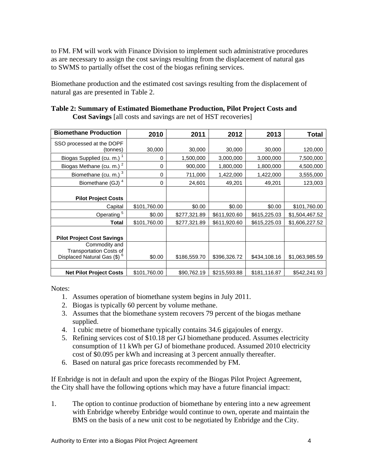to FM. FM will work with Finance Division to implement such administrative procedures as are necessary to assign the cost savings resulting from the displacement of natural gas to SWMS to partially offset the cost of the biogas refining services.

Biomethane production and the estimated cost savings resulting from the displacement of natural gas are presented in Table 2.

| <b>Biomethane Production</b>      | 2010         | 2011         | 2012                                    | 2013         | <b>Total</b>                  |
|-----------------------------------|--------------|--------------|-----------------------------------------|--------------|-------------------------------|
| SSO processed at the DOPF         |              |              |                                         |              |                               |
| (tonnes)                          | 30,000       | 30,000       | 30,000                                  | 30,000       | 120,000                       |
| Biogas Supplied (cu. m.)          |              | 1,500,000    | 3,000,000                               | 3,000,000    | 7,500,000                     |
| Biogas Methane (cu. m.)           |              | 900,000      | 1,800,000                               | 1,800,000    | 4,500,000                     |
| Biomethane (cu. m.)               |              | 711,000      | 1,422,000                               | ,422,000     | 3,555,000                     |
|                                   |              |              | 49,201                                  | 49,201       |                               |
| Biomethane (GJ)                   |              | 24,601       |                                         |              | 123,003                       |
|                                   |              |              |                                         |              |                               |
| <b>Pilot Project Costs</b>        |              |              |                                         |              |                               |
| Capital                           | \$101,760.00 | \$0.00       | \$0.00                                  | \$0.00       | \$101,760.00                  |
| Operating                         | \$0.00       | \$277,321.89 | \$611,920.60                            | \$615,225.03 | \$1,504,467.52                |
| <b>Total</b>                      | \$101,760.00 | \$277,321.89 | \$611,920.60                            | \$615,225.03 | \$1,606,227.52                |
|                                   |              |              |                                         |              |                               |
| <b>Pilot Project Cost Savings</b> |              |              |                                         |              |                               |
| Commodity and                     |              |              |                                         |              |                               |
| <b>Transportation Costs of</b>    |              |              |                                         |              |                               |
| Displaced Natural Gas (\$)        | \$0.00       | \$186,559.70 | \$396,326.72                            |              | $$434,108.16$ $$1,063,985.59$ |
|                                   |              |              |                                         |              |                               |
| <b>Net Pilot Project Costs</b>    | \$101,760.00 |              | $$90,762.19$ $$215,593.88$ \$181,116.87 |              | \$542,241.93                  |

| Table<br>, Pilot Project Costs and<br>.d B101r<br>hethane Pr⁄<br>Yroduction.<br>Summarv<br>. Estimated<br>v ot |
|----------------------------------------------------------------------------------------------------------------|
| "I costs and savings are net of HST.<br>recoveries<br><b>Cost Savings</b><br>Tall                              |

Notes:

- 1. Assumes operation of biomethane system begins in July 2011.
- 2. Biogas is typically 60 percent by volume methane.
- 3. Assumes that the biomethane system recovers 79 percent of the biogas methane supplied.
- 4. 1 cubic metre of biomethane typically contains 34.6 gigajoules of energy.
- 5. Refining services cost of \$10.18 per GJ biomethane produced. Assumes electricity consumption of 11 kWh per GJ of biomethane produced. Assumed 2010 electricity cost of \$0.095 per kWh and increasing at 3 percent annually thereafter.
- 6. Based on natural gas price forecasts recommended by FM.

If Enbridge is not in default and upon the expiry of the Biogas Pilot Project Agreement, the City shall have the following options which may have a future financial impact:

1. The option to continue production of biomethane by entering into a new agreement with Enbridge whereby Enbridge would continue to own, operate and maintain the BMS on the basis of a new unit cost to be negotiated by Enbridge and the City.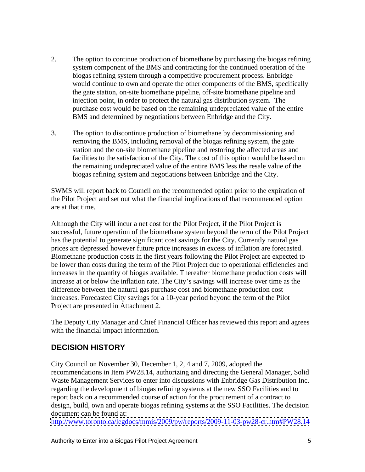- 2. The option to continue production of biomethane by purchasing the biogas refining system component of the BMS and contracting for the continued operation of the biogas refining system through a competitive procurement process. Enbridge would continue to own and operate the other components of the BMS, specifically the gate station, on-site biomethane pipeline, off-site biomethane pipeline and injection point, in order to protect the natural gas distribution system. The purchase cost would be based on the remaining undepreciated value of the entire BMS and determined by negotiations between Enbridge and the City.
- 3. The option to discontinue production of biomethane by decommissioning and removing the BMS, including removal of the biogas refining system, the gate station and the on-site biomethane pipeline and restoring the affected areas and facilities to the satisfaction of the City. The cost of this option would be based on the remaining undepreciated value of the entire BMS less the resale value of the biogas refining system and negotiations between Enbridge and the City.

SWMS will report back to Council on the recommended option prior to the expiration of the Pilot Project and set out what the financial implications of that recommended option are at that time.

Although the City will incur a net cost for the Pilot Project, if the Pilot Project is successful, future operation of the biomethane system beyond the term of the Pilot Project has the potential to generate significant cost savings for the City. Currently natural gas prices are depressed however future price increases in excess of inflation are forecasted. Biomethane production costs in the first years following the Pilot Project are expected to be lower than costs during the term of the Pilot Project due to operational efficiencies and increases in the quantity of biogas available. Thereafter biomethane production costs will increase at or below the inflation rate. The City's savings will increase over time as the difference between the natural gas purchase cost and biomethane production cost increases. Forecasted City savings for a 10-year period beyond the term of the Pilot Project are presented in Attachment 2.

The Deputy City Manager and Chief Financial Officer has reviewed this report and agrees with the financial impact information.

## **DECISION HISTORY**

City Council on November 30, December 1, 2, 4 and 7, 2009, adopted the recommendations in Item PW28.14, authorizing and directing the General Manager, Solid Waste Management Services to enter into discussions with Enbridge Gas Distribution Inc. regarding the development of biogas refining systems at the new SSO Facilities and to report back on a recommended course of action for the procurement of a contract to design, build, own and operate biogas refining systems at the SSO Facilities. The decision document can be found at:

<http://www.toronto.ca/legdocs/mmis/2009/pw/reports/2009-11-03-pw28-cr.htm#PW28.14>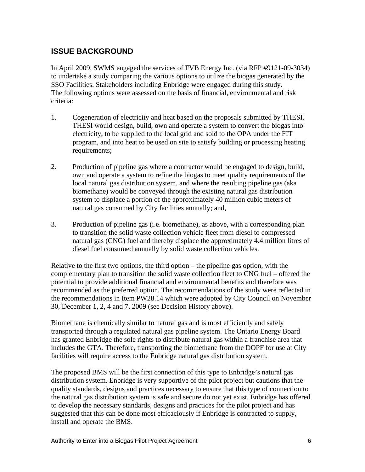### **ISSUE BACKGROUND**

In April 2009, SWMS engaged the services of FVB Energy Inc. (via RFP #9121-09-3034) to undertake a study comparing the various options to utilize the biogas generated by the SSO Facilities. Stakeholders including Enbridge were engaged during this study. The following options were assessed on the basis of financial, environmental and risk criteria:

- 1. Cogeneration of electricity and heat based on the proposals submitted by THESI. THESI would design, build, own and operate a system to convert the biogas into electricity, to be supplied to the local grid and sold to the OPA under the FIT program, and into heat to be used on site to satisfy building or processing heating requirements;
- 2. Production of pipeline gas where a contractor would be engaged to design, build, own and operate a system to refine the biogas to meet quality requirements of the local natural gas distribution system, and where the resulting pipeline gas (aka biomethane) would be conveyed through the existing natural gas distribution system to displace a portion of the approximately 40 million cubic meters of natural gas consumed by City facilities annually; and,
- 3. Production of pipeline gas (i.e. biomethane), as above, with a corresponding plan to transition the solid waste collection vehicle fleet from diesel to compressed natural gas (CNG) fuel and thereby displace the approximately 4.4 million litres of diesel fuel consumed annually by solid waste collection vehicles.

Relative to the first two options, the third option – the pipeline gas option, with the complementary plan to transition the solid waste collection fleet to CNG fuel – offered the potential to provide additional financial and environmental benefits and therefore was recommended as the preferred option. The recommendations of the study were reflected in the recommendations in Item PW28.14 which were adopted by City Council on November 30, December 1, 2, 4 and 7, 2009 (see Decision History above).

Biomethane is chemically similar to natural gas and is most efficiently and safely transported through a regulated natural gas pipeline system. The Ontario Energy Board has granted Enbridge the sole rights to distribute natural gas within a franchise area that includes the GTA. Therefore, transporting the biomethane from the DOPF for use at City facilities will require access to the Enbridge natural gas distribution system.

The proposed BMS will be the first connection of this type to Enbridge's natural gas distribution system. Enbridge is very supportive of the pilot project but cautions that the quality standards, designs and practices necessary to ensure that this type of connection to the natural gas distribution system is safe and secure do not yet exist. Enbridge has offered to develop the necessary standards, designs and practices for the pilot project and has suggested that this can be done most efficaciously if Enbridge is contracted to supply, install and operate the BMS.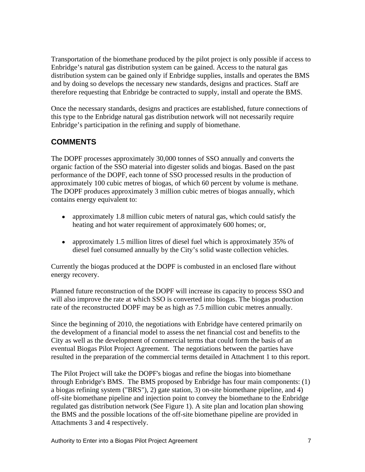Transportation of the biomethane produced by the pilot project is only possible if access to Enbridge's natural gas distribution system can be gained. Access to the natural gas distribution system can be gained only if Enbridge supplies, installs and operates the BMS and by doing so develops the necessary new standards, designs and practices. Staff are therefore requesting that Enbridge be contracted to supply, install and operate the BMS.

Once the necessary standards, designs and practices are established, future connections of this type to the Enbridge natural gas distribution network will not necessarily require Enbridge's participation in the refining and supply of biomethane.

## **COMMENTS**

The DOPF processes approximately 30,000 tonnes of SSO annually and converts the organic faction of the SSO material into digester solids and biogas. Based on the past performance of the DOPF, each tonne of SSO processed results in the production of approximately 100 cubic metres of biogas, of which 60 percent by volume is methane. The DOPF produces approximately 3 million cubic metres of biogas annually, which contains energy equivalent to:

- $\bullet$ approximately 1.8 million cubic meters of natural gas, which could satisfy the heating and hot water requirement of approximately 600 homes; or,
- $\bullet$ approximately 1.5 million litres of diesel fuel which is approximately 35% of diesel fuel consumed annually by the City's solid waste collection vehicles.

Currently the biogas produced at the DOPF is combusted in an enclosed flare without energy recovery.

Planned future reconstruction of the DOPF will increase its capacity to process SSO and will also improve the rate at which SSO is converted into biogas. The biogas production rate of the reconstructed DOPF may be as high as 7.5 million cubic metres annually.

Since the beginning of 2010, the negotiations with Enbridge have centered primarily on the development of a financial model to assess the net financial cost and benefits to the City as well as the development of commercial terms that could form the basis of an eventual Biogas Pilot Project Agreement. The negotiations between the parties have resulted in the preparation of the commercial terms detailed in Attachment 1 to this report.

The Pilot Project will take the DOPF's biogas and refine the biogas into biomethane through Enbridge's BMS. The BMS proposed by Enbridge has four main components: (1) a biogas refining system ("BRS"), 2) gate station, 3) on-site biomethane pipeline, and 4) off-site biomethane pipeline and injection point to convey the biomethane to the Enbridge regulated gas distribution network (See Figure 1). A site plan and location plan showing the BMS and the possible locations of the off-site biomethane pipeline are provided in Attachments 3 and 4 respectively.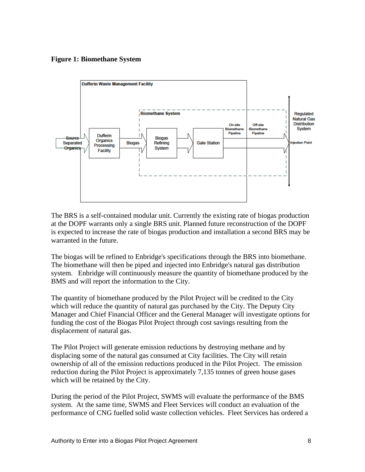#### **Figure 1: Biomethane System**



The BRS is a self-contained modular unit. Currently the existing rate of biogas production at the DOPF warrants only a single BRS unit. Planned future reconstruction of the DOPF is expected to increase the rate of biogas production and installation a second BRS may be warranted in the future.

The biogas will be refined to Enbridge's specifications through the BRS into biomethane. The biomethane will then be piped and injected into Enbridge's natural gas distribution system. Enbridge will continuously measure the quantity of biomethane produced by the BMS and will report the information to the City.

The quantity of biomethane produced by the Pilot Project will be credited to the City which will reduce the quantity of natural gas purchased by the City. The Deputy City Manager and Chief Financial Officer and the General Manager will investigate options for funding the cost of the Biogas Pilot Project through cost savings resulting from the displacement of natural gas.

The Pilot Project will generate emission reductions by destroying methane and by displacing some of the natural gas consumed at City facilities. The City will retain ownership of all of the emission reductions produced in the Pilot Project. The emission reduction during the Pilot Project is approximately 7,135 tonnes of green house gases which will be retained by the City.

During the period of the Pilot Project, SWMS will evaluate the performance of the BMS system. At the same time, SWMS and Fleet Services will conduct an evaluation of the performance of CNG fuelled solid waste collection vehicles. Fleet Services has ordered a